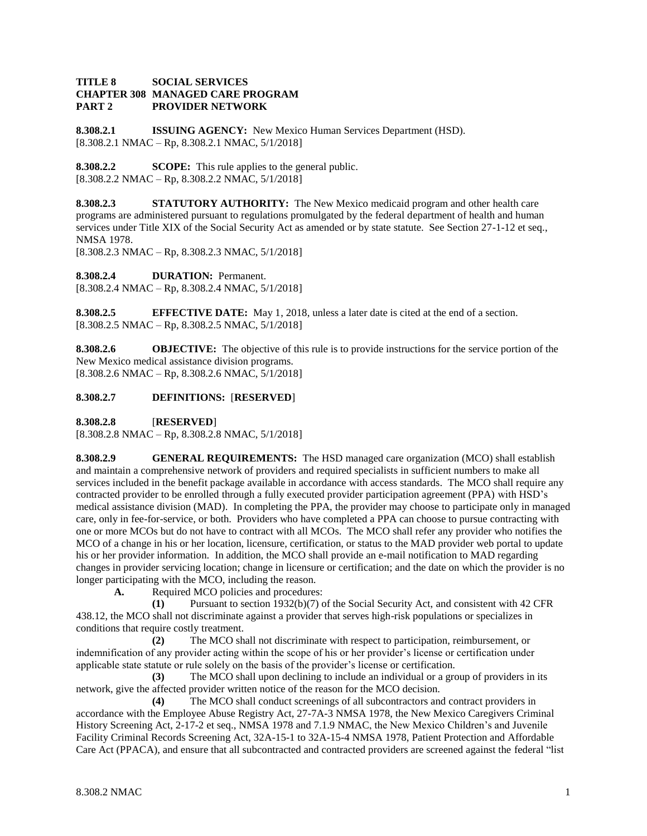## **TITLE 8 SOCIAL SERVICES CHAPTER 308 MANAGED CARE PROGRAM PART 2 PROVIDER NETWORK**

**8.308.2.1 ISSUING AGENCY:** New Mexico Human Services Department (HSD). [8.308.2.1 NMAC – Rp, 8.308.2.1 NMAC, 5/1/2018]

**8.308.2.2 SCOPE:** This rule applies to the general public. [8.308.2.2 NMAC – Rp, 8.308.2.2 NMAC, 5/1/2018]

**8.308.2.3 STATUTORY AUTHORITY:** The New Mexico medicaid program and other health care programs are administered pursuant to regulations promulgated by the federal department of health and human services under Title XIX of the Social Security Act as amended or by state statute. See Section 27-1-12 et seq., NMSA 1978.

[8.308.2.3 NMAC – Rp, 8.308.2.3 NMAC, 5/1/2018]

**8.308.2.4 DURATION:** Permanent. [8.308.2.4 NMAC – Rp, 8.308.2.4 NMAC, 5/1/2018]

**8.308.2.5 EFFECTIVE DATE:** May 1, 2018, unless a later date is cited at the end of a section. [8.308.2.5 NMAC – Rp, 8.308.2.5 NMAC, 5/1/2018]

**8.308.2.6 OBJECTIVE:** The objective of this rule is to provide instructions for the service portion of the New Mexico medical assistance division programs. [8.308.2.6 NMAC – Rp, 8.308.2.6 NMAC, 5/1/2018]

# **8.308.2.7 DEFINITIONS:** [**RESERVED**]

**8.308.2.8** [**RESERVED**]

[8.308.2.8 NMAC – Rp, 8.308.2.8 NMAC, 5/1/2018]

**8.308.2.9 GENERAL REQUIREMENTS:** The HSD managed care organization (MCO) shall establish and maintain a comprehensive network of providers and required specialists in sufficient numbers to make all services included in the benefit package available in accordance with access standards. The MCO shall require any contracted provider to be enrolled through a fully executed provider participation agreement (PPA) with HSD's medical assistance division (MAD). In completing the PPA, the provider may choose to participate only in managed care, only in fee-for-service, or both. Providers who have completed a PPA can choose to pursue contracting with one or more MCOs but do not have to contract with all MCOs. The MCO shall refer any provider who notifies the MCO of a change in his or her location, licensure, certification, or status to the MAD provider web portal to update his or her provider information. In addition, the MCO shall provide an e-mail notification to MAD regarding changes in provider servicing location; change in licensure or certification; and the date on which the provider is no longer participating with the MCO, including the reason.

**A.** Required MCO policies and procedures:

**(1)** Pursuant to section 1932(b)(7) of the Social Security Act, and consistent with 42 CFR 438.12, the MCO shall not discriminate against a provider that serves high-risk populations or specializes in conditions that require costly treatment.

**(2)** The MCO shall not discriminate with respect to participation, reimbursement, or indemnification of any provider acting within the scope of his or her provider's license or certification under applicable state statute or rule solely on the basis of the provider's license or certification.

**(3)** The MCO shall upon declining to include an individual or a group of providers in its network, give the affected provider written notice of the reason for the MCO decision.

**(4)** The MCO shall conduct screenings of all subcontractors and contract providers in accordance with the Employee Abuse Registry Act, 27-7A-3 NMSA 1978, the New Mexico Caregivers Criminal History Screening Act, 2-17-2 et seq., NMSA 1978 and 7.1.9 NMAC, the New Mexico Children's and Juvenile Facility Criminal Records Screening Act, 32A-15-1 to 32A-15-4 NMSA 1978, Patient Protection and Affordable Care Act (PPACA), and ensure that all subcontracted and contracted providers are screened against the federal "list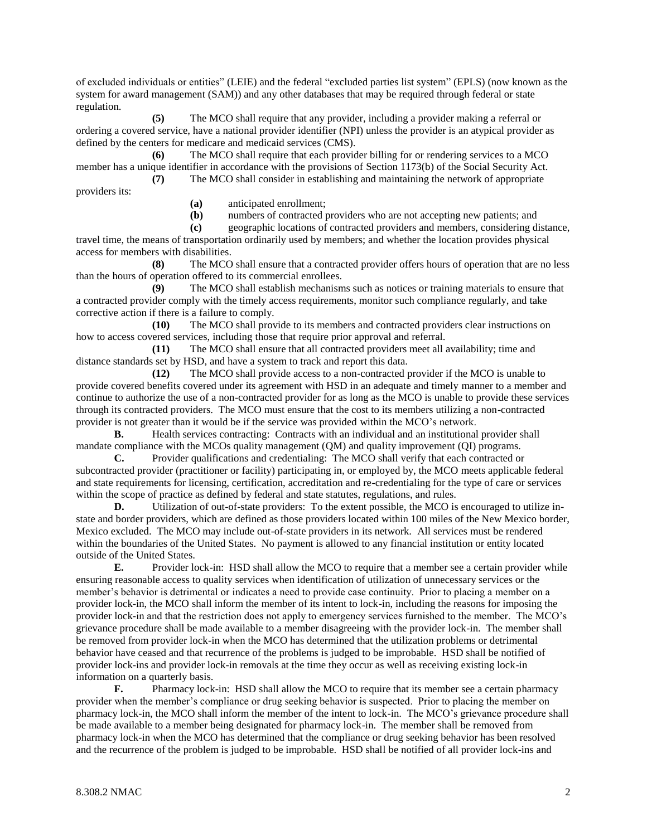of excluded individuals or entities" (LEIE) and the federal "excluded parties list system" (EPLS) (now known as the system for award management (SAM)) and any other databases that may be required through federal or state regulation.

**(5)** The MCO shall require that any provider, including a provider making a referral or ordering a covered service, have a national provider identifier (NPI) unless the provider is an atypical provider as defined by the centers for medicare and medicaid services (CMS).

**(6)** The MCO shall require that each provider billing for or rendering services to a MCO member has a unique identifier in accordance with the provisions of Section 1173(b) of the Social Security Act. **(7)** The MCO shall consider in establishing and maintaining the network of appropriate

providers its:

- **(a)** anticipated enrollment;
- **(b)** numbers of contracted providers who are not accepting new patients; and

**(c)** geographic locations of contracted providers and members, considering distance, travel time, the means of transportation ordinarily used by members; and whether the location provides physical access for members with disabilities.

**(8)** The MCO shall ensure that a contracted provider offers hours of operation that are no less than the hours of operation offered to its commercial enrollees.

**(9)** The MCO shall establish mechanisms such as notices or training materials to ensure that a contracted provider comply with the timely access requirements, monitor such compliance regularly, and take corrective action if there is a failure to comply.

**(10)** The MCO shall provide to its members and contracted providers clear instructions on how to access covered services, including those that require prior approval and referral.

**(11)** The MCO shall ensure that all contracted providers meet all availability; time and distance standards set by HSD, and have a system to track and report this data.

**(12)** The MCO shall provide access to a non-contracted provider if the MCO is unable to provide covered benefits covered under its agreement with HSD in an adequate and timely manner to a member and continue to authorize the use of a non-contracted provider for as long as the MCO is unable to provide these services through its contracted providers. The MCO must ensure that the cost to its members utilizing a non-contracted provider is not greater than it would be if the service was provided within the MCO's network.

**B.** Health services contracting: Contracts with an individual and an institutional provider shall mandate compliance with the MCOs quality management (QM) and quality improvement (QI) programs.

**C.** Provider qualifications and credentialing: The MCO shall verify that each contracted or subcontracted provider (practitioner or facility) participating in, or employed by, the MCO meets applicable federal and state requirements for licensing, certification, accreditation and re-credentialing for the type of care or services within the scope of practice as defined by federal and state statutes, regulations, and rules.

**D.** Utilization of out-of-state providers: To the extent possible, the MCO is encouraged to utilize instate and border providers, which are defined as those providers located within 100 miles of the New Mexico border, Mexico excluded. The MCO may include out-of-state providers in its network. All services must be rendered within the boundaries of the United States. No payment is allowed to any financial institution or entity located outside of the United States.

**E.** Provider lock-in: HSD shall allow the MCO to require that a member see a certain provider while ensuring reasonable access to quality services when identification of utilization of unnecessary services or the member's behavior is detrimental or indicates a need to provide case continuity. Prior to placing a member on a provider lock-in, the MCO shall inform the member of its intent to lock-in, including the reasons for imposing the provider lock-in and that the restriction does not apply to emergency services furnished to the member. The MCO's grievance procedure shall be made available to a member disagreeing with the provider lock-in. The member shall be removed from provider lock-in when the MCO has determined that the utilization problems or detrimental behavior have ceased and that recurrence of the problems is judged to be improbable. HSD shall be notified of provider lock-ins and provider lock-in removals at the time they occur as well as receiving existing lock-in information on a quarterly basis.

**F.** Pharmacy lock-in: HSD shall allow the MCO to require that its member see a certain pharmacy provider when the member's compliance or drug seeking behavior is suspected. Prior to placing the member on pharmacy lock-in, the MCO shall inform the member of the intent to lock-in. The MCO's grievance procedure shall be made available to a member being designated for pharmacy lock-in. The member shall be removed from pharmacy lock-in when the MCO has determined that the compliance or drug seeking behavior has been resolved and the recurrence of the problem is judged to be improbable. HSD shall be notified of all provider lock-ins and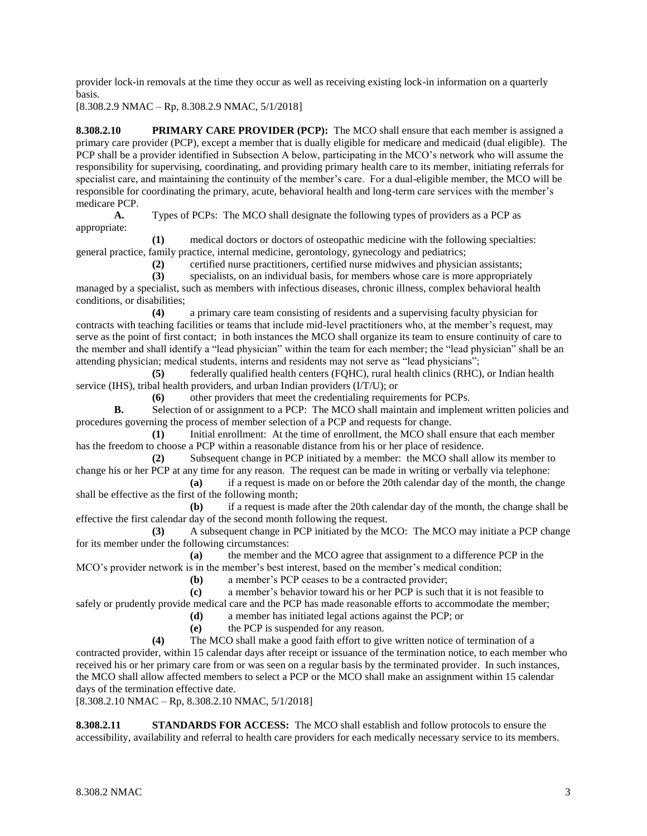provider lock-in removals at the time they occur as well as receiving existing lock-in information on a quarterly basis.

[8.308.2.9 NMAC – Rp, 8.308.2.9 NMAC, 5/1/2018]

**8.308.2.10 PRIMARY CARE PROVIDER (PCP):** The MCO shall ensure that each member is assigned a primary care provider (PCP), except a member that is dually eligible for medicare and medicaid (dual eligible). The PCP shall be a provider identified in Subsection A below, participating in the MCO's network who will assume the responsibility for supervising, coordinating, and providing primary health care to its member, initiating referrals for specialist care, and maintaining the continuity of the member's care. For a dual-eligible member, the MCO will be responsible for coordinating the primary, acute, behavioral health and long-term care services with the member's medicare PCP.

**A.** Types of PCPs: The MCO shall designate the following types of providers as a PCP as appropriate:

**(1)** medical doctors or doctors of osteopathic medicine with the following specialties: general practice, family practice, internal medicine, gerontology, gynecology and pediatrics;

**(2)** certified nurse practitioners, certified nurse midwives and physician assistants;

**(3)** specialists, on an individual basis, for members whose care is more appropriately

managed by a specialist, such as members with infectious diseases, chronic illness, complex behavioral health conditions, or disabilities;

**(4)** a primary care team consisting of residents and a supervising faculty physician for contracts with teaching facilities or teams that include mid-level practitioners who, at the member's request, may serve as the point of first contact; in both instances the MCO shall organize its team to ensure continuity of care to the member and shall identify a "lead physician" within the team for each member; the "lead physician" shall be an attending physician; medical students, interns and residents may not serve as "lead physicians";

**(5)** federally qualified health centers (FQHC), rural health clinics (RHC), or Indian health service (IHS), tribal health providers, and urban Indian providers (I/T/U); or

**(6)** other providers that meet the credentialing requirements for PCPs.

**B.** Selection of or assignment to a PCP: The MCO shall maintain and implement written policies and procedures governing the process of member selection of a PCP and requests for change.

**(1)** Initial enrollment: At the time of enrollment, the MCO shall ensure that each member has the freedom to choose a PCP within a reasonable distance from his or her place of residence.

**(2)** Subsequent change in PCP initiated by a member: the MCO shall allow its member to change his or her PCP at any time for any reason. The request can be made in writing or verbally via telephone:

**(a)** if a request is made on or before the 20th calendar day of the month, the change shall be effective as the first of the following month;

**(b)** if a request is made after the 20th calendar day of the month, the change shall be effective the first calendar day of the second month following the request.

**(3)** A subsequent change in PCP initiated by the MCO: The MCO may initiate a PCP change for its member under the following circumstances:

**(a)** the member and the MCO agree that assignment to a difference PCP in the MCO's provider network is in the member's best interest, based on the member's medical condition;

**(b)** a member's PCP ceases to be a contracted provider;

**(c)** a member's behavior toward his or her PCP is such that it is not feasible to safely or prudently provide medical care and the PCP has made reasonable efforts to accommodate the member;

**(d)** a member has initiated legal actions against the PCP; or

**(e)** the PCP is suspended for any reason.

**(4)** The MCO shall make a good faith effort to give written notice of termination of a contracted provider, within 15 calendar days after receipt or issuance of the termination notice, to each member who received his or her primary care from or was seen on a regular basis by the terminated provider. In such instances, the MCO shall allow affected members to select a PCP or the MCO shall make an assignment within 15 calendar days of the termination effective date.

[8.308.2.10 NMAC – Rp, 8.308.2.10 NMAC, 5/1/2018]

**8.308.2.11 STANDARDS FOR ACCESS:** The MCO shall establish and follow protocols to ensure the accessibility, availability and referral to health care providers for each medically necessary service to its members.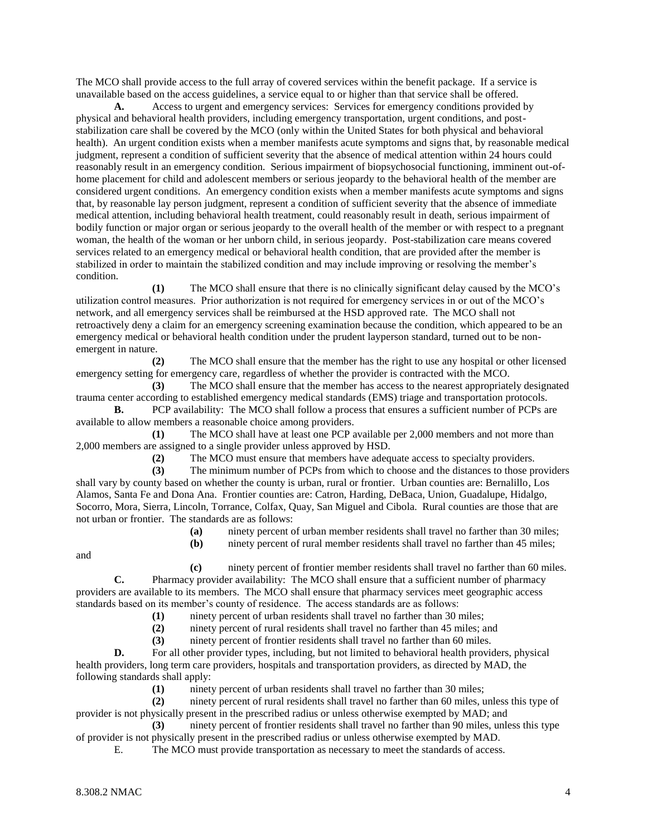The MCO shall provide access to the full array of covered services within the benefit package. If a service is unavailable based on the access guidelines, a service equal to or higher than that service shall be offered.

**A.** Access to urgent and emergency services: Services for emergency conditions provided by physical and behavioral health providers, including emergency transportation, urgent conditions, and poststabilization care shall be covered by the MCO (only within the United States for both physical and behavioral health). An urgent condition exists when a member manifests acute symptoms and signs that, by reasonable medical judgment, represent a condition of sufficient severity that the absence of medical attention within 24 hours could reasonably result in an emergency condition. Serious impairment of biopsychosocial functioning, imminent out-ofhome placement for child and adolescent members or serious jeopardy to the behavioral health of the member are considered urgent conditions. An emergency condition exists when a member manifests acute symptoms and signs that, by reasonable lay person judgment, represent a condition of sufficient severity that the absence of immediate medical attention, including behavioral health treatment, could reasonably result in death, serious impairment of bodily function or major organ or serious jeopardy to the overall health of the member or with respect to a pregnant woman, the health of the woman or her unborn child, in serious jeopardy. Post-stabilization care means covered services related to an emergency medical or behavioral health condition, that are provided after the member is stabilized in order to maintain the stabilized condition and may include improving or resolving the member's condition.

**(1)** The MCO shall ensure that there is no clinically significant delay caused by the MCO's utilization control measures. Prior authorization is not required for emergency services in or out of the MCO's network, and all emergency services shall be reimbursed at the HSD approved rate. The MCO shall not retroactively deny a claim for an emergency screening examination because the condition, which appeared to be an emergency medical or behavioral health condition under the prudent layperson standard, turned out to be nonemergent in nature.

**(2)** The MCO shall ensure that the member has the right to use any hospital or other licensed emergency setting for emergency care, regardless of whether the provider is contracted with the MCO.

**(3)** The MCO shall ensure that the member has access to the nearest appropriately designated trauma center according to established emergency medical standards (EMS) triage and transportation protocols.

**B.** PCP availability: The MCO shall follow a process that ensures a sufficient number of PCPs are available to allow members a reasonable choice among providers.

**(1)** The MCO shall have at least one PCP available per 2,000 members and not more than 2,000 members are assigned to a single provider unless approved by HSD.

**(2)** The MCO must ensure that members have adequate access to specialty providers.

**(3)** The minimum number of PCPs from which to choose and the distances to those providers shall vary by county based on whether the county is urban, rural or frontier. Urban counties are: Bernalillo, Los Alamos, Santa Fe and Dona Ana. Frontier counties are: Catron, Harding, DeBaca, Union, Guadalupe, Hidalgo, Socorro, Mora, Sierra, Lincoln, Torrance, Colfax, Quay, San Miguel and Cibola. Rural counties are those that are not urban or frontier. The standards are as follows:

**(a)** ninety percent of urban member residents shall travel no farther than 30 miles;

and

- **(b)** ninety percent of rural member residents shall travel no farther than 45 miles;
- 

**(c)** ninety percent of frontier member residents shall travel no farther than 60 miles. **C.** Pharmacy provider availability: The MCO shall ensure that a sufficient number of pharmacy providers are available to its members. The MCO shall ensure that pharmacy services meet geographic access standards based on its member's county of residence. The access standards are as follows:

**(1)** ninety percent of urban residents shall travel no farther than 30 miles;

**(2)** ninety percent of rural residents shall travel no farther than 45 miles; and

**(3)** ninety percent of frontier residents shall travel no farther than 60 miles.

**D.** For all other provider types, including, but not limited to behavioral health providers, physical health providers, long term care providers, hospitals and transportation providers, as directed by MAD, the following standards shall apply:

**(1)** ninety percent of urban residents shall travel no farther than 30 miles;

**(2)** ninety percent of rural residents shall travel no farther than 60 miles, unless this type of provider is not physically present in the prescribed radius or unless otherwise exempted by MAD; and

**(3)** ninety percent of frontier residents shall travel no farther than 90 miles, unless this type of provider is not physically present in the prescribed radius or unless otherwise exempted by MAD.

E. The MCO must provide transportation as necessary to meet the standards of access.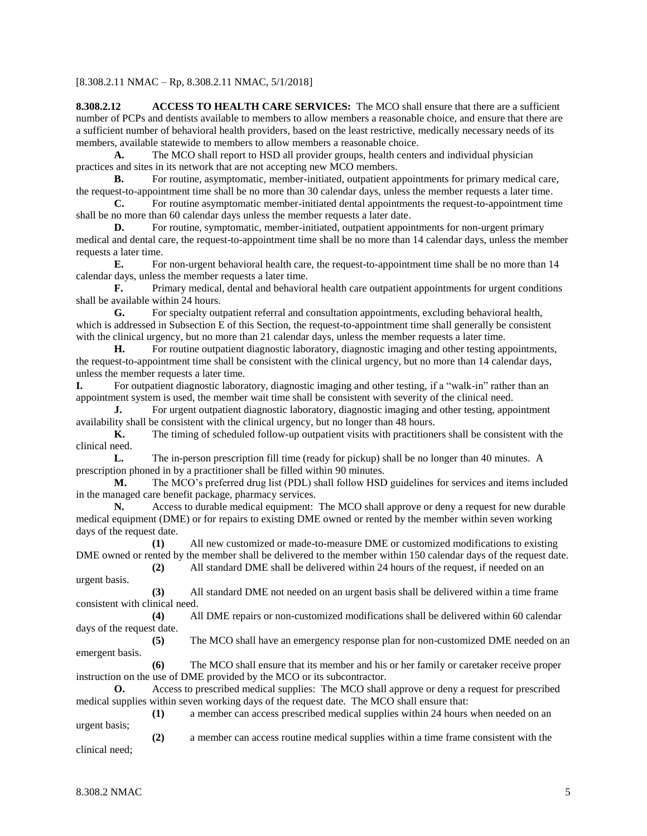#### [8.308.2.11 NMAC – Rp, 8.308.2.11 NMAC, 5/1/2018]

**8.308.2.12 ACCESS TO HEALTH CARE SERVICES:** The MCO shall ensure that there are a sufficient number of PCPs and dentists available to members to allow members a reasonable choice, and ensure that there are a sufficient number of behavioral health providers, based on the least restrictive, medically necessary needs of its members, available statewide to members to allow members a reasonable choice.

**A.** The MCO shall report to HSD all provider groups, health centers and individual physician practices and sites in its network that are not accepting new MCO members.

**B.** For routine, asymptomatic, member-initiated, outpatient appointments for primary medical care, the request-to-appointment time shall be no more than 30 calendar days, unless the member requests a later time.

**C.** For routine asymptomatic member-initiated dental appointments the request-to-appointment time shall be no more than 60 calendar days unless the member requests a later date.

**D.** For routine, symptomatic, member-initiated, outpatient appointments for non-urgent primary medical and dental care, the request-to-appointment time shall be no more than 14 calendar days, unless the member requests a later time.

**E.** For non-urgent behavioral health care, the request-to-appointment time shall be no more than 14 calendar days, unless the member requests a later time.

**F.** Primary medical, dental and behavioral health care outpatient appointments for urgent conditions shall be available within 24 hours.

**G.** For specialty outpatient referral and consultation appointments, excluding behavioral health, which is addressed in Subsection E of this Section, the request-to-appointment time shall generally be consistent with the clinical urgency, but no more than 21 calendar days, unless the member requests a later time.

**H.** For routine outpatient diagnostic laboratory, diagnostic imaging and other testing appointments, the request-to-appointment time shall be consistent with the clinical urgency, but no more than 14 calendar days, unless the member requests a later time.

**I.** For outpatient diagnostic laboratory, diagnostic imaging and other testing, if a "walk-in" rather than an appointment system is used, the member wait time shall be consistent with severity of the clinical need.

**J.** For urgent outpatient diagnostic laboratory, diagnostic imaging and other testing, appointment availability shall be consistent with the clinical urgency, but no longer than 48 hours.

**K.** The timing of scheduled follow-up outpatient visits with practitioners shall be consistent with the clinical need.

**L.** The in-person prescription fill time (ready for pickup) shall be no longer than 40 minutes. A prescription phoned in by a practitioner shall be filled within 90 minutes.

**M.** The MCO's preferred drug list (PDL) shall follow HSD guidelines for services and items included in the managed care benefit package, pharmacy services.

**N.** Access to durable medical equipment: The MCO shall approve or deny a request for new durable medical equipment (DME) or for repairs to existing DME owned or rented by the member within seven working days of the request date.

**(1)** All new customized or made-to-measure DME or customized modifications to existing DME owned or rented by the member shall be delivered to the member within 150 calendar days of the request date. **(2)** All standard DME shall be delivered within 24 hours of the request, if needed on an

urgent basis.

**(3)** All standard DME not needed on an urgent basis shall be delivered within a time frame consistent with clinical need.

**(4)** All DME repairs or non-customized modifications shall be delivered within 60 calendar days of the request date.

**(5)** The MCO shall have an emergency response plan for non-customized DME needed on an emergent basis.

**(6)** The MCO shall ensure that its member and his or her family or caretaker receive proper instruction on the use of DME provided by the MCO or its subcontractor.

**O.** Access to prescribed medical supplies: The MCO shall approve or deny a request for prescribed medical supplies within seven working days of the request date. The MCO shall ensure that:

**(1)** a member can access prescribed medical supplies within 24 hours when needed on an urgent basis;

**(2)** a member can access routine medical supplies within a time frame consistent with the clinical need;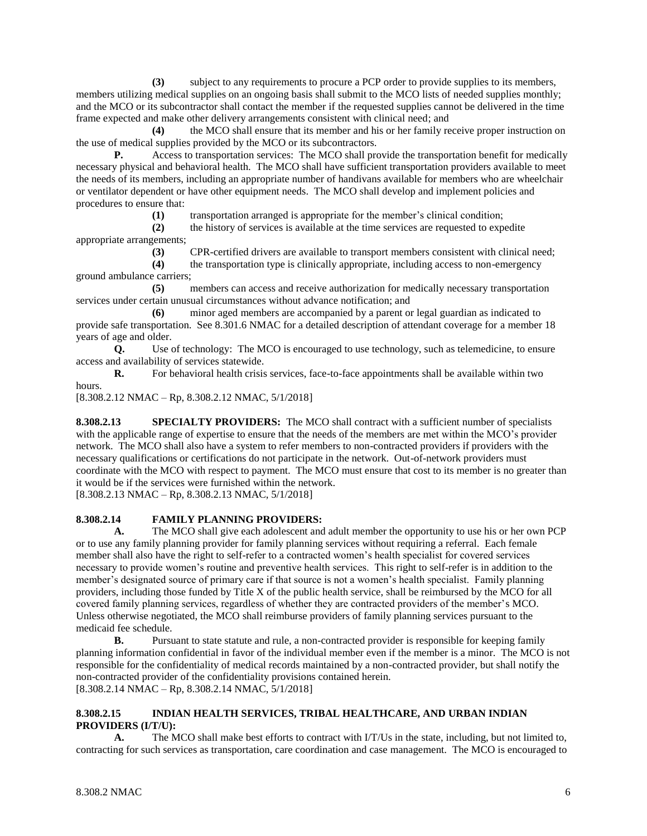**(3)** subject to any requirements to procure a PCP order to provide supplies to its members, members utilizing medical supplies on an ongoing basis shall submit to the MCO lists of needed supplies monthly; and the MCO or its subcontractor shall contact the member if the requested supplies cannot be delivered in the time frame expected and make other delivery arrangements consistent with clinical need; and

**(4)** the MCO shall ensure that its member and his or her family receive proper instruction on the use of medical supplies provided by the MCO or its subcontractors.

**P.** Access to transportation services: The MCO shall provide the transportation benefit for medically necessary physical and behavioral health. The MCO shall have sufficient transportation providers available to meet the needs of its members, including an appropriate number of handivans available for members who are wheelchair or ventilator dependent or have other equipment needs. The MCO shall develop and implement policies and procedures to ensure that:

**(1)** transportation arranged is appropriate for the member's clinical condition;

**(2)** the history of services is available at the time services are requested to expedite appropriate arrangements;

**(3)** CPR-certified drivers are available to transport members consistent with clinical need;

**(4)** the transportation type is clinically appropriate, including access to non-emergency ground ambulance carriers;

**(5)** members can access and receive authorization for medically necessary transportation services under certain unusual circumstances without advance notification; and

**(6)** minor aged members are accompanied by a parent or legal guardian as indicated to provide safe transportation. See 8.301.6 NMAC for a detailed description of attendant coverage for a member 18 years of age and older.

**Q.** Use of technology: The MCO is encouraged to use technology, such as telemedicine, to ensure access and availability of services statewide.

**R.** For behavioral health crisis services, face-to-face appointments shall be available within two hours.

[8.308.2.12 NMAC – Rp, 8.308.2.12 NMAC, 5/1/2018]

**8.308.2.13 SPECIALTY PROVIDERS:** The MCO shall contract with a sufficient number of specialists with the applicable range of expertise to ensure that the needs of the members are met within the MCO's provider network. The MCO shall also have a system to refer members to non-contracted providers if providers with the necessary qualifications or certifications do not participate in the network. Out-of-network providers must coordinate with the MCO with respect to payment. The MCO must ensure that cost to its member is no greater than it would be if the services were furnished within the network.

[8.308.2.13 NMAC – Rp, 8.308.2.13 NMAC, 5/1/2018]

## **8.308.2.14 FAMILY PLANNING PROVIDERS:**

**A.** The MCO shall give each adolescent and adult member the opportunity to use his or her own PCP or to use any family planning provider for family planning services without requiring a referral. Each female member shall also have the right to self-refer to a contracted women's health specialist for covered services necessary to provide women's routine and preventive health services. This right to self-refer is in addition to the member's designated source of primary care if that source is not a women's health specialist. Family planning providers, including those funded by Title X of the public health service, shall be reimbursed by the MCO for all covered family planning services, regardless of whether they are contracted providers of the member's MCO. Unless otherwise negotiated, the MCO shall reimburse providers of family planning services pursuant to the medicaid fee schedule.

**B.** Pursuant to state statute and rule, a non-contracted provider is responsible for keeping family planning information confidential in favor of the individual member even if the member is a minor. The MCO is not responsible for the confidentiality of medical records maintained by a non-contracted provider, but shall notify the non-contracted provider of the confidentiality provisions contained herein. [8.308.2.14 NMAC – Rp, 8.308.2.14 NMAC, 5/1/2018]

## **8.308.2.15 INDIAN HEALTH SERVICES, TRIBAL HEALTHCARE, AND URBAN INDIAN PROVIDERS (I/T/U):**

**A.** The MCO shall make best efforts to contract with I/T/Us in the state, including, but not limited to, contracting for such services as transportation, care coordination and case management. The MCO is encouraged to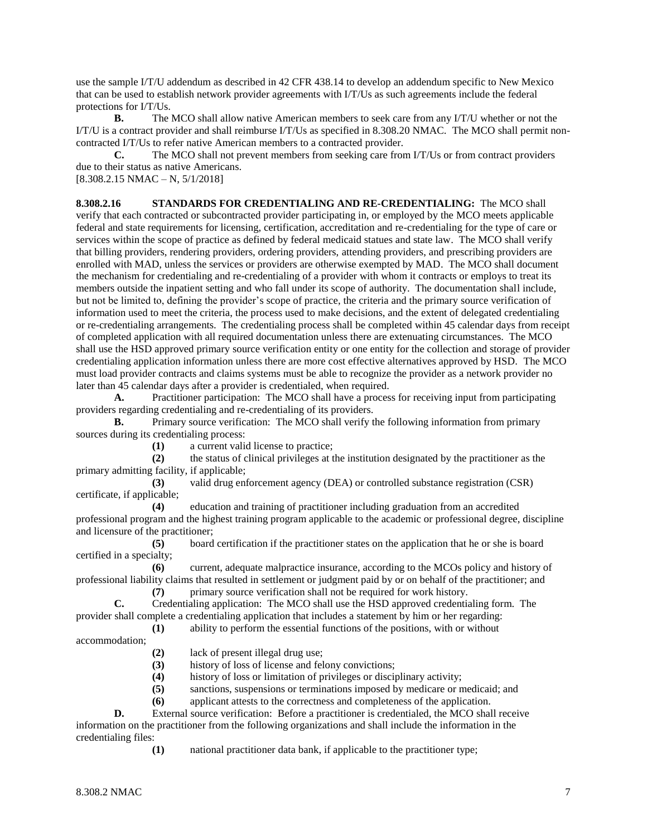use the sample I/T/U addendum as described in 42 CFR 438.14 to develop an addendum specific to New Mexico that can be used to establish network provider agreements with I/T/Us as such agreements include the federal protections for I/T/Us.

**B.** The MCO shall allow native American members to seek care from any I/T/U whether or not the I/T/U is a contract provider and shall reimburse I/T/Us as specified in 8.308.20 NMAC. The MCO shall permit noncontracted I/T/Us to refer native American members to a contracted provider.

**C.** The MCO shall not prevent members from seeking care from I/T/Us or from contract providers due to their status as native Americans.

[8.308.2.15 NMAC – N, 5/1/2018]

**8.308.2.16 STANDARDS FOR CREDENTIALING AND RE-CREDENTIALING:** The MCO shall verify that each contracted or subcontracted provider participating in, or employed by the MCO meets applicable federal and state requirements for licensing, certification, accreditation and re-credentialing for the type of care or services within the scope of practice as defined by federal medicaid statues and state law. The MCO shall verify that billing providers, rendering providers, ordering providers, attending providers, and prescribing providers are enrolled with MAD, unless the services or providers are otherwise exempted by MAD. The MCO shall document the mechanism for credentialing and re-credentialing of a provider with whom it contracts or employs to treat its members outside the inpatient setting and who fall under its scope of authority. The documentation shall include, but not be limited to, defining the provider's scope of practice, the criteria and the primary source verification of information used to meet the criteria, the process used to make decisions, and the extent of delegated credentialing or re-credentialing arrangements. The credentialing process shall be completed within 45 calendar days from receipt of completed application with all required documentation unless there are extenuating circumstances. The MCO shall use the HSD approved primary source verification entity or one entity for the collection and storage of provider credentialing application information unless there are more cost effective alternatives approved by HSD. The MCO must load provider contracts and claims systems must be able to recognize the provider as a network provider no later than 45 calendar days after a provider is credentialed, when required.

**A.** Practitioner participation: The MCO shall have a process for receiving input from participating providers regarding credentialing and re-credentialing of its providers.

**B.** Primary source verification: The MCO shall verify the following information from primary sources during its credentialing process:

**(1)** a current valid license to practice;

**(2)** the status of clinical privileges at the institution designated by the practitioner as the primary admitting facility, if applicable;

**(3)** valid drug enforcement agency (DEA) or controlled substance registration (CSR) certificate, if applicable;

**(4)** education and training of practitioner including graduation from an accredited professional program and the highest training program applicable to the academic or professional degree, discipline and licensure of the practitioner;

**(5)** board certification if the practitioner states on the application that he or she is board certified in a specialty;

**(6)** current, adequate malpractice insurance, according to the MCOs policy and history of professional liability claims that resulted in settlement or judgment paid by or on behalf of the practitioner; and **(7)** primary source verification shall not be required for work history.

**C.** Credentialing application: The MCO shall use the HSD approved credentialing form. The provider shall complete a credentialing application that includes a statement by him or her regarding:

**(1)** ability to perform the essential functions of the positions, with or without

accommodation;

- **(2)** lack of present illegal drug use;
- **(3)** history of loss of license and felony convictions;
- **(4)** history of loss or limitation of privileges or disciplinary activity;
- **(5)** sanctions, suspensions or terminations imposed by medicare or medicaid; and
- **(6)** applicant attests to the correctness and completeness of the application.

**D.** External source verification: Before a practitioner is credentialed, the MCO shall receive information on the practitioner from the following organizations and shall include the information in the credentialing files:

**(1)** national practitioner data bank, if applicable to the practitioner type;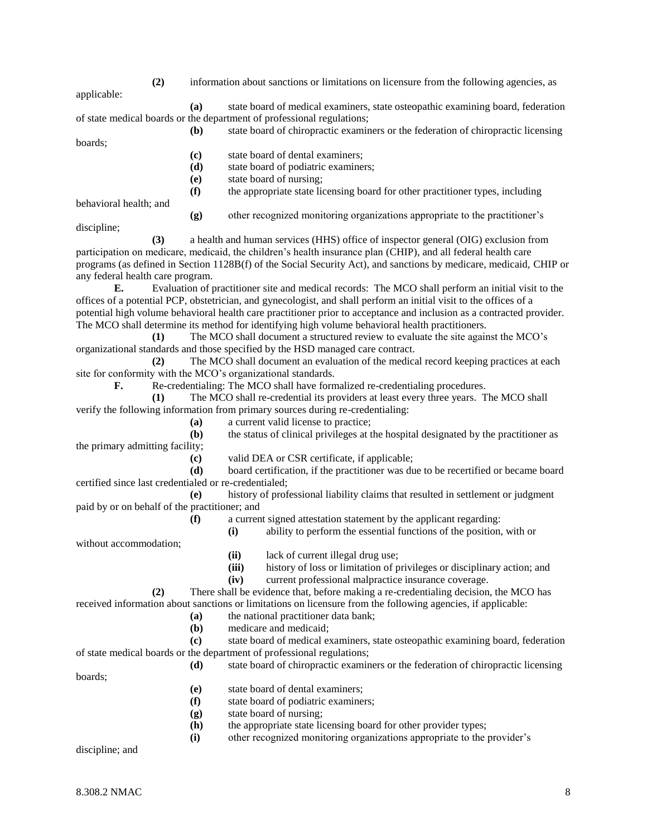8.308.2 NMAC 8 boards; **(c)** state board of dental examiners; **(d)** state board of podiatric examiners; **(e)** state board of nursing; **(f)** the appropriate state licensing board for other practitioner types, including behavioral health; and **(g)** other recognized monitoring organizations appropriate to the practitioner's discipline; **(3)** a health and human services (HHS) office of inspector general (OIG) exclusion from participation on medicare, medicaid, the children's health insurance plan (CHIP), and all federal health care programs (as defined in Section 1128B(f) of the Social Security Act), and sanctions by medicare, medicaid, CHIP or any federal health care program. **E.** Evaluation of practitioner site and medical records: The MCO shall perform an initial visit to the offices of a potential PCP, obstetrician, and gynecologist, and shall perform an initial visit to the offices of a potential high volume behavioral health care practitioner prior to acceptance and inclusion as a contracted provider. The MCO shall determine its method for identifying high volume behavioral health practitioners. **(1)** The MCO shall document a structured review to evaluate the site against the MCO's organizational standards and those specified by the HSD managed care contract. **(2)** The MCO shall document an evaluation of the medical record keeping practices at each site for conformity with the MCO's organizational standards. **F.** Re-credentialing: The MCO shall have formalized re-credentialing procedures. **(1)** The MCO shall re-credential its providers at least every three years. The MCO shall verify the following information from primary sources during re-credentialing: **(a)** a current valid license to practice; **(b)** the status of clinical privileges at the hospital designated by the practitioner as the primary admitting facility; **(c)** valid DEA or CSR certificate, if applicable; **(d)** board certification, if the practitioner was due to be recertified or became board certified since last credentialed or re-credentialed; **(e)** history of professional liability claims that resulted in settlement or judgment paid by or on behalf of the practitioner; and **(f)** a current signed attestation statement by the applicant regarding: **(i)** ability to perform the essential functions of the position, with or without accommodation; **(ii)** lack of current illegal drug use; **(iii)** history of loss or limitation of privileges or disciplinary action; and **(iv)** current professional malpractice insurance coverage. **(2)** There shall be evidence that, before making a re-credentialing decision, the MCO has received information about sanctions or limitations on licensure from the following agencies, if applicable: **(a)** the national practitioner data bank; **(b)** medicare and medicaid; **(c)** state board of medical examiners, state osteopathic examining board, federation of state medical boards or the department of professional regulations; **(d)** state board of chiropractic examiners or the federation of chiropractic licensing boards; **(e)** state board of dental examiners; **(f)** state board of podiatric examiners; **(g)** state board of nursing; **(h)** the appropriate state licensing board for other provider types; **(i)** other recognized monitoring organizations appropriate to the provider's discipline; and

**(2)** information about sanctions or limitations on licensure from the following agencies, as

**(a)** state board of medical examiners, state osteopathic examining board, federation

**(b)** state board of chiropractic examiners or the federation of chiropractic licensing

applicable:

of state medical boards or the department of professional regulations;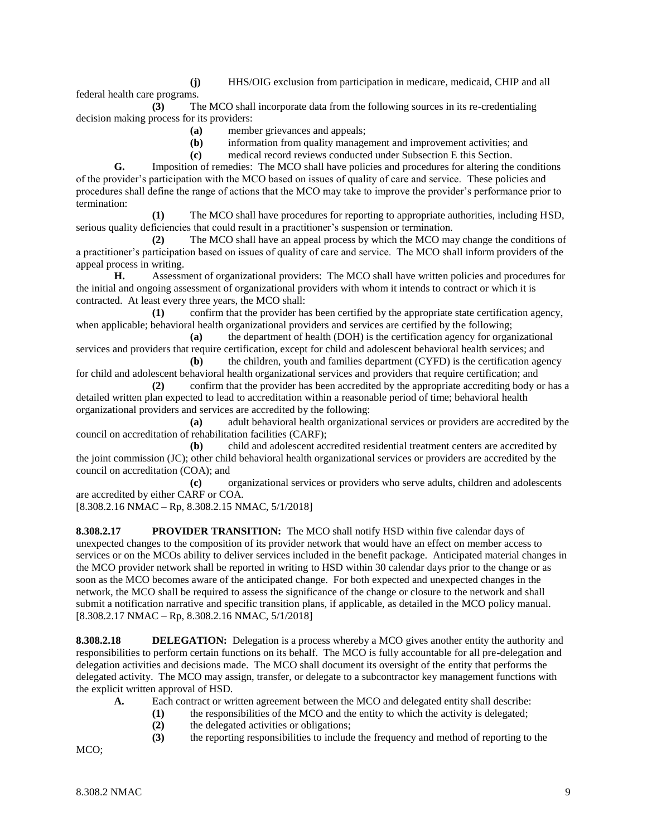**(j)** HHS/OIG exclusion from participation in medicare, medicaid, CHIP and all federal health care programs.

**(3)** The MCO shall incorporate data from the following sources in its re-credentialing decision making process for its providers:

**(a)** member grievances and appeals;

**(b)** information from quality management and improvement activities; and

**(c)** medical record reviews conducted under Subsection E this Section.

**G.** Imposition of remedies: The MCO shall have policies and procedures for altering the conditions of the provider's participation with the MCO based on issues of quality of care and service. These policies and procedures shall define the range of actions that the MCO may take to improve the provider's performance prior to termination:

**(1)** The MCO shall have procedures for reporting to appropriate authorities, including HSD, serious quality deficiencies that could result in a practitioner's suspension or termination.

**(2)** The MCO shall have an appeal process by which the MCO may change the conditions of a practitioner's participation based on issues of quality of care and service. The MCO shall inform providers of the appeal process in writing.

**H.** Assessment of organizational providers: The MCO shall have written policies and procedures for the initial and ongoing assessment of organizational providers with whom it intends to contract or which it is contracted. At least every three years, the MCO shall:

**(1)** confirm that the provider has been certified by the appropriate state certification agency, when applicable; behavioral health organizational providers and services are certified by the following;

**(a)** the department of health (DOH) is the certification agency for organizational services and providers that require certification, except for child and adolescent behavioral health services; and

**(b)** the children, youth and families department (CYFD) is the certification agency for child and adolescent behavioral health organizational services and providers that require certification; and

**(2)** confirm that the provider has been accredited by the appropriate accrediting body or has a detailed written plan expected to lead to accreditation within a reasonable period of time; behavioral health organizational providers and services are accredited by the following:

**(a)** adult behavioral health organizational services or providers are accredited by the council on accreditation of rehabilitation facilities (CARF);

**(b)** child and adolescent accredited residential treatment centers are accredited by the joint commission (JC); other child behavioral health organizational services or providers are accredited by the council on accreditation (COA); and

**(c)** organizational services or providers who serve adults, children and adolescents are accredited by either CARF or COA.

[8.308.2.16 NMAC – Rp, 8.308.2.15 NMAC, 5/1/2018]

**8.308.2.17 PROVIDER TRANSITION:** The MCO shall notify HSD within five calendar days of unexpected changes to the composition of its provider network that would have an effect on member access to services or on the MCOs ability to deliver services included in the benefit package. Anticipated material changes in the MCO provider network shall be reported in writing to HSD within 30 calendar days prior to the change or as soon as the MCO becomes aware of the anticipated change. For both expected and unexpected changes in the network, the MCO shall be required to assess the significance of the change or closure to the network and shall submit a notification narrative and specific transition plans, if applicable, as detailed in the MCO policy manual. [8.308.2.17 NMAC – Rp, 8.308.2.16 NMAC, 5/1/2018]

**8.308.2.18 DELEGATION:** Delegation is a process whereby a MCO gives another entity the authority and responsibilities to perform certain functions on its behalf. The MCO is fully accountable for all pre-delegation and delegation activities and decisions made. The MCO shall document its oversight of the entity that performs the delegated activity. The MCO may assign, transfer, or delegate to a subcontractor key management functions with the explicit written approval of HSD.

**A.** Each contract or written agreement between the MCO and delegated entity shall describe:

- **(1)** the responsibilities of the MCO and the entity to which the activity is delegated;
- **(2)** the delegated activities or obligations;
- **(3)** the reporting responsibilities to include the frequency and method of reporting to the

MCO;